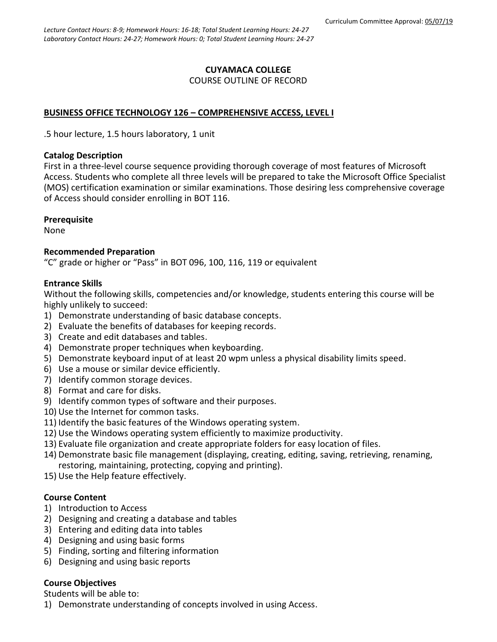# **CUYAMACA COLLEGE** COURSE OUTLINE OF RECORD

# **BUSINESS OFFICE TECHNOLOGY 126 – COMPREHENSIVE ACCESS, LEVEL I**

.5 hour lecture, 1.5 hours laboratory, 1 unit

### **Catalog Description**

First in a three-level course sequence providing thorough coverage of most features of Microsoft Access. Students who complete all three levels will be prepared to take the Microsoft Office Specialist (MOS) certification examination or similar examinations. Those desiring less comprehensive coverage of Access should consider enrolling in BOT 116.

# **Prerequisite**

None

# **Recommended Preparation**

"C" grade or higher or "Pass" in BOT 096, 100, 116, 119 or equivalent

# **Entrance Skills**

Without the following skills, competencies and/or knowledge, students entering this course will be highly unlikely to succeed:

- 1) Demonstrate understanding of basic database concepts.
- 2) Evaluate the benefits of databases for keeping records.
- 3) Create and edit databases and tables.
- 4) Demonstrate proper techniques when keyboarding.
- 5) Demonstrate keyboard input of at least 20 wpm unless a physical disability limits speed.
- 6) Use a mouse or similar device efficiently.
- 7) Identify common storage devices.
- 8) Format and care for disks.
- 9) Identify common types of software and their purposes.
- 10) Use the Internet for common tasks.
- 11) Identify the basic features of the Windows operating system.
- 12) Use the Windows operating system efficiently to maximize productivity.
- 13) Evaluate file organization and create appropriate folders for easy location of files.
- 14) Demonstrate basic file management (displaying, creating, editing, saving, retrieving, renaming, restoring, maintaining, protecting, copying and printing).
- 15) Use the Help feature effectively.

# **Course Content**

- 1) Introduction to Access
- 2) Designing and creating a database and tables
- 3) Entering and editing data into tables
- 4) Designing and using basic forms
- 5) Finding, sorting and filtering information
- 6) Designing and using basic reports

# **Course Objectives**

Students will be able to:

1) Demonstrate understanding of concepts involved in using Access.